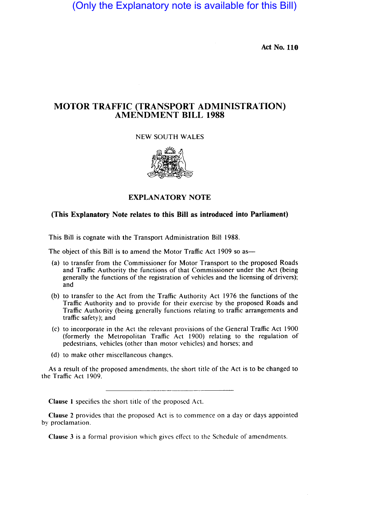(Only the Explanatory note is available for this Bill)

Act No. 110

# MOTOR TRAFFIC (TRANSPORT ADMINISTRATION) AMENDMENT BILL 1988

### NEW SOUTH WALES



### EXPLANATORY NOTE

## (This Explanatory Note relates to this Bill as introduced into Parliament)

This Bill is cognate with the Transport Administration Bill 1988.

The object of this Bill is to amend the Motor Traffic Act 1909 so as—

- (a) to transfer from the Commissioner for Motor Transport to the proposed Roads and Traffic Authority the functions of that Commissioner under the Act (being generally the functions of the registration of vehicles and the licensing of drivers); and
- (b) to transfer to the Act from the Traffic Authority Act 1976 the functions of the . Traffic Authority and to provide for their exercise by the proposed Roads and Traffic Authority (being generally functions relating to traffic arrangements and traffic safety); and
- (c) to incorporate in the Act the relevant provisions of the General Traffic Act 1900 (formerly the Metropolitan Traffic Act 1900) relating to the regulation of pedestrians, vehicles (other than motor vehicles) and horses; and
- (d) to make other miscellaneous changes.

As a result of the proposed amendments, the short title of the Act is to be changed to the Traffic Act 1909.

Clause I specifics the short title of the proposed Act.

Clause 2 provides that the proposed Act is to commence on a day or days appointed by proclamation.

Clause 3 is a formal provision which gives effect to the Schedule of amendments.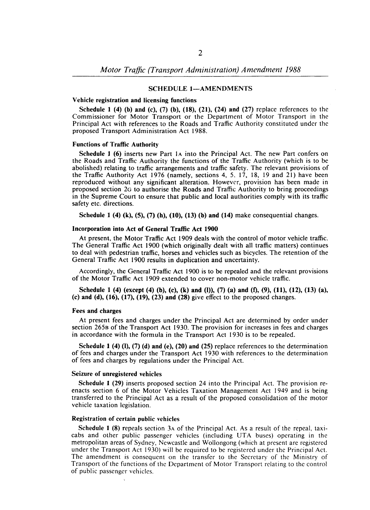### SCHEDULE 1-AMENDMENTS

#### Vehicle registration and licensing functions

Schedule 1 (4) (b) and (c), (7) (b), (18), (21), (24) and (27) replace references to the Commissioner for Motor Transport or the Department of Motor Transport in the Principal Act with references to the Roads and Traffic Authority constituted under the proposed Transport Administration Act 1988.

#### Functions of Traffic Authority

Schedule I (6) inserts new Part lA into the Principal Act. The new Part confers on the Roads and Traffic Authority the functions of the Traffic Authority (which is to be abolished) relating to traffic arrangements and traffic safety. The relevant provisions of the Traffic Authority Act 1976 (namely, sections 4, 5. 17, 18, 19 and 21) have been reproduced without any significant alteration. However, provision has been made in proposed section 2G to authorise the Roads and Traffic Authority to bring proceedings in the Supreme Court to ensure that public and local authorities comply with its traffic safety etc. directions.

Schedule 1 (4) (k), (5), (7) (h), (10), (13) (b) and (14) make consequential changes.

#### Incorporation into Act of General Traffic Act 1900

At present, the Motor Traffic Act 1909 deals with the control of motor vehicle traffic. The General Traffic Act 1900 (which originally dealt with all traffic matters) continues to deal with pedestrian traffic, horses and vehicles such as bicycles. The retention of the General Traffic Act 1900 results in duplication and uncertainty.

Accordingly, the General Traffic Act 1900 is to be repealed and the relevant provisions of the Motor Traffic Act 1909 extended to cover non-motor vehicle traffic.

Schedule 1 (4) (except (4) (b), (c), (k) and (l)), (7) (a) and (f), (9), (11), (12), (13) (a), (c) and (d),  $(16)$ ,  $(17)$ ,  $(19)$ ,  $(23)$  and  $(28)$  give effect to the proposed changes.

### Fees and charges

At present fees and charges under the Principal Act are determined by order under section 2658 of the Transport Act 1930. The provision for increases in fees and charges in accordance with the formula in the Transport Act 1930 is to be repealed.

Schedule 1 (4) (1), (7) (d) and (e), (20) and (25) replace references to the determination of fees and charges under the Transport Act 1930 with references to the determination of fees and charges by regulations under the Principal Act.

#### Seizure of unregistered vehicles

Schedule I (29) inserts proposed section 24 into the Principal Act. The provision reenacts section 6 of the Motor Vehicles Taxation Management Act 1949 and is being transferred to the Principal Act as a result of the proposed consolidation of the motor vehicle taxation legislation.

### Registration of certain public vehicles

Schedule I (8) repeals section 3A of the Principal Act. As a result of the repeal, taxicabs and other public passenger vehicles (including UTA buses) operating in the metropolitan areas of Sydney, Newcastle and Wollongong (which at present are registered under the Transport Act 1930) will be required to be registered under the Principal Act. The amendment is consequent on the transfer to the Secretary of the Ministry of Transport of the functions of the Department of Motor Transport relating to the control of public passenger vehicles.